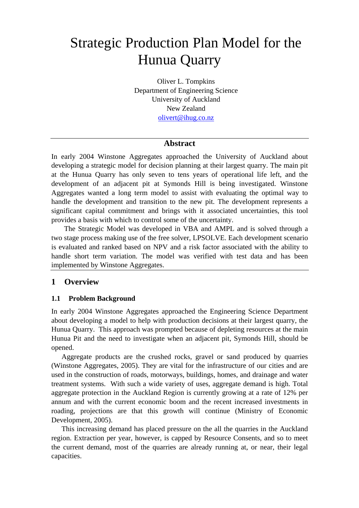# Strategic Production Plan Model for the Hunua Quarry

Oliver L. Tompkins Department of Engineering Science University of Auckland New Zealand olivert@ihug.co.nz

## **Abstract**

In early 2004 Winstone Aggregates approached the University of Auckland about developing a strategic model for decision planning at their largest quarry. The main pit at the Hunua Quarry has only seven to tens years of operational life left, and the development of an adjacent pit at Symonds Hill is being investigated. Winstone Aggregates wanted a long term model to assist with evaluating the optimal way to handle the development and transition to the new pit. The development represents a significant capital commitment and brings with it associated uncertainties, this tool provides a basis with which to control some of the uncertainty.

The Strategic Model was developed in VBA and AMPL and is solved through a two stage process making use of the free solver, LPSOLVE. Each development scenario is evaluated and ranked based on NPV and a risk factor associated with the ability to handle short term variation. The model was verified with test data and has been implemented by Winstone Aggregates.

## **1 Overview**

## **1.1 Problem Background**

In early 2004 Winstone Aggregates approached the Engineering Science Department about developing a model to help with production decisions at their largest quarry, the Hunua Quarry. This approach was prompted because of depleting resources at the main Hunua Pit and the need to investigate when an adjacent pit, Symonds Hill, should be opened.

Aggregate products are the crushed rocks, gravel or sand produced by quarries (Winstone Aggregates, 2005). They are vital for the infrastructure of our cities and are used in the construction of roads, motorways, buildings, homes, and drainage and water treatment systems. With such a wide variety of uses, aggregate demand is high. Total aggregate protection in the Auckland Region is currently growing at a rate of 12% per annum and with the current economic boom and the recent increased investments in roading, projections are that this growth will continue (Ministry of Economic Development, 2005).

This increasing demand has placed pressure on the all the quarries in the Auckland region. Extraction per year, however, is capped by Resource Consents, and so to meet the current demand, most of the quarries are already running at, or near, their legal capacities.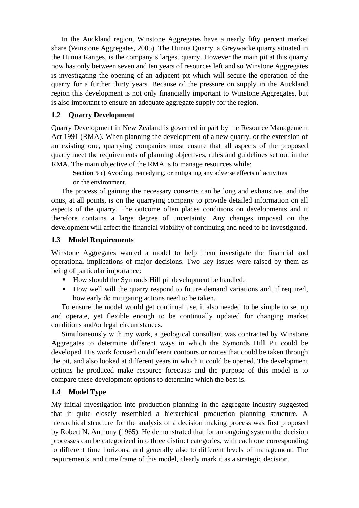In the Auckland region, Winstone Aggregates have a nearly fifty percent market share (Winstone Aggregates, 2005). The Hunua Quarry, a Greywacke quarry situated in the Hunua Ranges, is the company's largest quarry. However the main pit at this quarry now has only between seven and ten years of resources left and so Winstone Aggregates is investigating the opening of an adjacent pit which will secure the operation of the quarry for a further thirty years. Because of the pressure on supply in the Auckland region this development is not only financially important to Winstone Aggregates, but is also important to ensure an adequate aggregate supply for the region.

## **1.2 Quarry Development**

Quarry Development in New Zealand is governed in part by the Resource Management Act 1991 (RMA). When planning the development of a new quarry, or the extension of an existing one, quarrying companies must ensure that all aspects of the proposed quarry meet the requirements of planning objectives, rules and guidelines set out in the RMA. The main objective of the RMA is to manage resources while:

**Section 5 c)** Avoiding, remedying, or mitigating any adverse effects of activities on the environment.

The process of gaining the necessary consents can be long and exhaustive, and the onus, at all points, is on the quarrying company to provide detailed information on all aspects of the quarry. The outcome often places conditions on developments and it therefore contains a large degree of uncertainty. Any changes imposed on the development will affect the financial viability of continuing and need to be investigated.

## **1.3 Model Requirements**

Winstone Aggregates wanted a model to help them investigate the financial and operational implications of major decisions. Two key issues were raised by them as being of particular importance:

- How should the Symonds Hill pit development be handled.
- How well will the quarry respond to future demand variations and, if required, how early do mitigating actions need to be taken.

To ensure the model would get continual use, it also needed to be simple to set up and operate, yet flexible enough to be continually updated for changing market conditions and/or legal circumstances.

Simultaneously with my work, a geological consultant was contracted by Winstone Aggregates to determine different ways in which the Symonds Hill Pit could be developed. His work focused on different contours or routes that could be taken through the pit, and also looked at different years in which it could be opened. The development options he produced make resource forecasts and the purpose of this model is to compare these development options to determine which the best is.

# **1.4 Model Type**

My initial investigation into production planning in the aggregate industry suggested that it quite closely resembled a hierarchical production planning structure. A hierarchical structure for the analysis of a decision making process was first proposed by Robert N. Anthony (1965). He demonstrated that for an ongoing system the decision processes can be categorized into three distinct categories, with each one corresponding to different time horizons, and generally also to different levels of management. The requirements, and time frame of this model, clearly mark it as a strategic decision.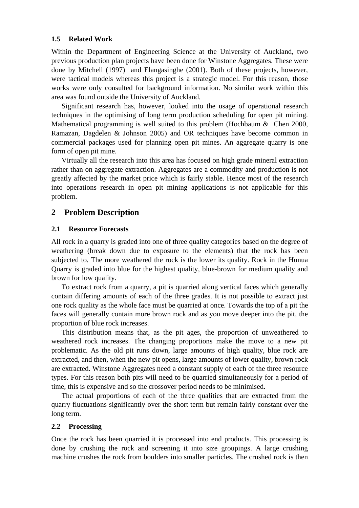#### **1.5 Related Work**

Within the Department of Engineering Science at the University of Auckland, two previous production plan projects have been done for Winstone Aggregates. These were done by Mitchell (1997) and Elangasinghe (2001). Both of these projects, however, were tactical models whereas this project is a strategic model. For this reason, those works were only consulted for background information. No similar work within this area was found outside the University of Auckland.

Significant research has, however, looked into the usage of operational research techniques in the optimising of long term production scheduling for open pit mining. Mathematical programming is well suited to this problem (Hochbaum & Chen 2000, Ramazan, Dagdelen & Johnson 2005) and OR techniques have become common in commercial packages used for planning open pit mines. An aggregate quarry is one form of open pit mine.

Virtually all the research into this area has focused on high grade mineral extraction rather than on aggregate extraction. Aggregates are a commodity and production is not greatly affected by the market price which is fairly stable. Hence most of the research into operations research in open pit mining applications is not applicable for this problem.

## **2 Problem Description**

#### **2.1 Resource Forecasts**

All rock in a quarry is graded into one of three quality categories based on the degree of weathering (break down due to exposure to the elements) that the rock has been subjected to. The more weathered the rock is the lower its quality. Rock in the Hunua Quarry is graded into blue for the highest quality, blue-brown for medium quality and brown for low quality.

To extract rock from a quarry, a pit is quarried along vertical faces which generally contain differing amounts of each of the three grades. It is not possible to extract just one rock quality as the whole face must be quarried at once. Towards the top of a pit the faces will generally contain more brown rock and as you move deeper into the pit, the proportion of blue rock increases.

This distribution means that, as the pit ages, the proportion of unweathered to weathered rock increases. The changing proportions make the move to a new pit problematic. As the old pit runs down, large amounts of high quality, blue rock are extracted, and then, when the new pit opens, large amounts of lower quality, brown rock are extracted. Winstone Aggregates need a constant supply of each of the three resource types. For this reason both pits will need to be quarried simultaneously for a period of time, this is expensive and so the crossover period needs to be minimised.

The actual proportions of each of the three qualities that are extracted from the quarry fluctuations significantly over the short term but remain fairly constant over the long term.

## **2.2 Processing**

Once the rock has been quarried it is processed into end products. This processing is done by crushing the rock and screening it into size groupings. A large crushing machine crushes the rock from boulders into smaller particles. The crushed rock is then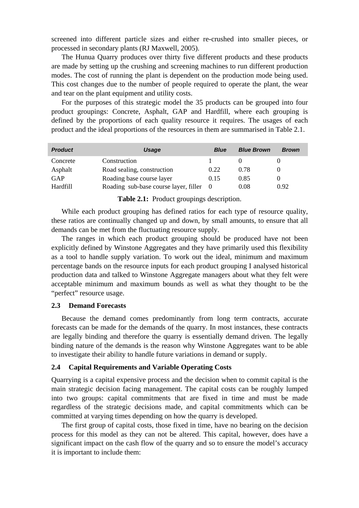screened into different particle sizes and either re-crushed into smaller pieces, or processed in secondary plants (RJ Maxwell, 2005).

The Hunua Quarry produces over thirty five different products and these products are made by setting up the crushing and screening machines to run different production modes. The cost of running the plant is dependent on the production mode being used. This cost changes due to the number of people required to operate the plant, the wear and tear on the plant equipment and utility costs.

For the purposes of this strategic model the 35 products can be grouped into four product groupings: Concrete, Asphalt, GAP and Hardfill, where each grouping is defined by the proportions of each quality resource it requires. The usages of each product and the ideal proportions of the resources in them are summarised in Table 2.1.

| <b>Product</b> | Usage                                 | <b>Blue</b> | <b>Blue Brown</b> | <b>Brown</b> |
|----------------|---------------------------------------|-------------|-------------------|--------------|
| Concrete       | Construction                          |             |                   |              |
| Asphalt        | Road sealing, construction            | 0.22        | 0.78              |              |
| GAP            | Roading base course layer             | 0.15        | 0.85              |              |
| Hardfill       | Roading sub-base course layer, filler |             | 0.08              | 0.92         |

**Table 2.1:** Product groupings description.

While each product grouping has defined ratios for each type of resource quality, these ratios are continually changed up and down, by small amounts, to ensure that all demands can be met from the fluctuating resource supply.

The ranges in which each product grouping should be produced have not been explicitly defined by Winstone Aggregates and they have primarily used this flexibility as a tool to handle supply variation. To work out the ideal, minimum and maximum percentage bands on the resource inputs for each product grouping I analysed historical production data and talked to Winstone Aggregate managers about what they felt were acceptable minimum and maximum bounds as well as what they thought to be the "perfect" resource usage.

#### **2.3 Demand Forecasts**

Because the demand comes predominantly from long term contracts, accurate forecasts can be made for the demands of the quarry. In most instances, these contracts are legally binding and therefore the quarry is essentially demand driven. The legally binding nature of the demands is the reason why Winstone Aggregates want to be able to investigate their ability to handle future variations in demand or supply.

#### **2.4 Capital Requirements and Variable Operating Costs**

Quarrying is a capital expensive process and the decision when to commit capital is the main strategic decision facing management. The capital costs can be roughly lumped into two groups: capital commitments that are fixed in time and must be made regardless of the strategic decisions made, and capital commitments which can be committed at varying times depending on how the quarry is developed.

The first group of capital costs, those fixed in time, have no bearing on the decision process for this model as they can not be altered. This capital, however, does have a significant impact on the cash flow of the quarry and so to ensure the model's accuracy it is important to include them: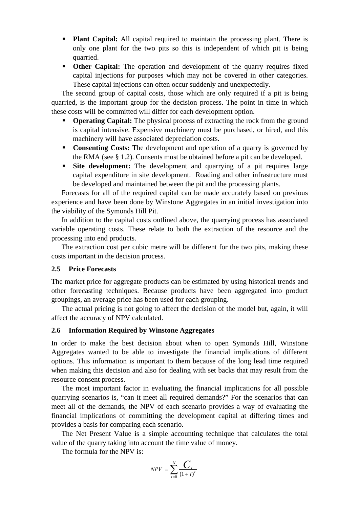- **Plant Capital:** All capital required to maintain the processing plant. There is only one plant for the two pits so this is independent of which pit is being quarried.
- **Other Capital:** The operation and development of the quarry requires fixed capital injections for purposes which may not be covered in other categories. These capital injections can often occur suddenly and unexpectedly.

The second group of capital costs, those which are only required if a pit is being quarried, is the important group for the decision process. The point in time in which these costs will be committed will differ for each development option.

- **Operating Capital:** The physical process of extracting the rock from the ground is capital intensive. Expensive machinery must be purchased, or hired, and this machinery will have associated depreciation costs.
- **Consenting Costs:** The development and operation of a quarry is governed by the RMA (see § 1.2). Consents must be obtained before a pit can be developed.
- **Site development:** The development and quarrying of a pit requires large capital expenditure in site development. Roading and other infrastructure must be developed and maintained between the pit and the processing plants.

Forecasts for all of the required capital can be made accurately based on previous experience and have been done by Winstone Aggregates in an initial investigation into the viability of the Symonds Hill Pit.

In addition to the capital costs outlined above, the quarrying process has associated variable operating costs. These relate to both the extraction of the resource and the processing into end products.

The extraction cost per cubic metre will be different for the two pits, making these costs important in the decision process.

#### **2.5 Price Forecasts**

The market price for aggregate products can be estimated by using historical trends and other forecasting techniques. Because products have been aggregated into product groupings, an average price has been used for each grouping.

The actual pricing is not going to affect the decision of the model but, again, it will affect the accuracy of NPV calculated.

#### **2.6 Information Required by Winstone Aggregates**

In order to make the best decision about when to open Symonds Hill, Winstone Aggregates wanted to be able to investigate the financial implications of different options. This information is important to them because of the long lead time required when making this decision and also for dealing with set backs that may result from the resource consent process.

The most important factor in evaluating the financial implications for all possible quarrying scenarios is, "can it meet all required demands?" For the scenarios that can meet all of the demands, the NPV of each scenario provides a way of evaluating the financial implications of committing the development capital at differing times and provides a basis for comparing each scenario.

The Net Present Value is a simple accounting technique that calculates the total value of the quarry taking into account the time value of money.

The formula for the NPV is:

$$
NPV = \sum_{t=0}^{N} \frac{C_t}{(1+i)^t}
$$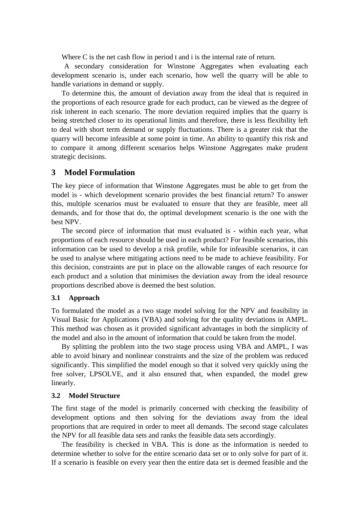Where C is the net cash flow in period t and i is the internal rate of return.

A secondary consideration for Winstone Aggregates when evaluating each development scenario is, under each scenario, how well the quarry will be able to handle variations in demand or supply.

To determine this, the amount of deviation away from the ideal that is required in the proportions of each resource grade for each product, can be viewed as the degree of risk inherent in each scenario. The more deviation required implies that the quarry is being stretched closer to its operational limits and therefore, there is less flexibility left to deal with short term demand or supply fluctuations. There is a greater risk that the quarry will become infeasible at some point in time. An ability to quantify this risk and to compare it among different scenarios helps Winstone Aggregates make prudent strategic decisions.

#### **3 Model Formulation**

The key piece of information that Winstone Aggregates must be able to get from the model is - which development scenario provides the best financial return? To answer this, multiple scenarios must be evaluated to ensure that they are feasible, meet all demands, and for those that do, the optimal development scenario is the one with the best NPV.

The second piece of information that must evaluated is - within each year, what proportions of each resource should be used in each product? For feasible scenarios, this information can be used to develop a risk profile, while for infeasible scenarios, it can be used to analyse where mitigating actions need to be made to achieve feasibility. For this decision, constraints are put in place on the allowable ranges of each resource for each product and a solution that minimises the deviation away from the ideal resource proportions described above is deemed the best solution.

#### **3.1 Approach**

To formulated the model as a two stage model solving for the NPV and feasibility in Visual Basic for Applications (VBA) and solving for the quality deviations in AMPL. This method was chosen as it provided significant advantages in both the simplicity of the model and also in the amount of information that could be taken from the model.

By splitting the problem into the two stage process using VBA and AMPL, I was able to avoid binary and nonlinear constraints and the size of the problem was reduced significantly. This simplified the model enough so that it solved very quickly using the free solver, LPSOLVE, and it also ensured that, when expanded, the model grew linearly.

#### **3.2 Model Structure**

The first stage of the model is primarily concerned with checking the feasibility of development options and then solving for the deviations away from the ideal proportions that are required in order to meet all demands. The second stage calculates the NPV for all feasible data sets and ranks the feasible data sets accordingly.

The feasibility is checked in VBA. This is done as the information is needed to determine whether to solve for the entire scenario data set or to only solve for part of it. If a scenario is feasible on every year then the entire data set is deemed feasible and the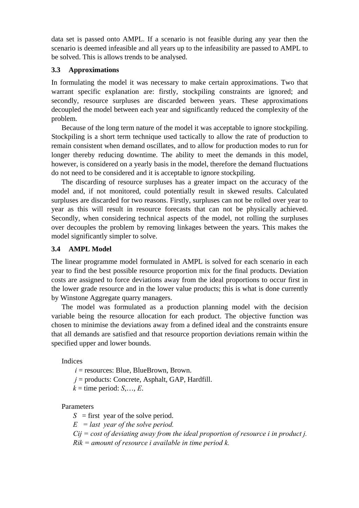data set is passed onto AMPL. If a scenario is not feasible during any year then the scenario is deemed infeasible and all years up to the infeasibility are passed to AMPL to be solved. This is allows trends to be analysed.

#### **3.3 Approximations**

In formulating the model it was necessary to make certain approximations. Two that warrant specific explanation are: firstly, stockpiling constraints are ignored; and secondly, resource surpluses are discarded between years. These approximations decoupled the model between each year and significantly reduced the complexity of the problem.

Because of the long term nature of the model it was acceptable to ignore stockpiling. Stockpiling is a short term technique used tactically to allow the rate of production to remain consistent when demand oscillates, and to allow for production modes to run for longer thereby reducing downtime. The ability to meet the demands in this model, however, is considered on a yearly basis in the model, therefore the demand fluctuations do not need to be considered and it is acceptable to ignore stockpiling.

The discarding of resource surpluses has a greater impact on the accuracy of the model and, if not monitored, could potentially result in skewed results. Calculated surpluses are discarded for two reasons. Firstly, surpluses can not be rolled over year to year as this will result in resource forecasts that can not be physically achieved. Secondly, when considering technical aspects of the model, not rolling the surpluses over decouples the problem by removing linkages between the years. This makes the model significantly simpler to solve.

## **3.4 AMPL Model**

The linear programme model formulated in AMPL is solved for each scenario in each year to find the best possible resource proportion mix for the final products. Deviation costs are assigned to force deviations away from the ideal proportions to occur first in the lower grade resource and in the lower value products; this is what is done currently by Winstone Aggregate quarry managers.

The model was formulated as a production planning model with the decision variable being the resource allocation for each product. The objective function was chosen to minimise the deviations away from a defined ideal and the constraints ensure that all demands are satisfied and that resource proportion deviations remain within the specified upper and lower bounds.

Indices

 $i$  = resources: Blue, BlueBrown, Brown.

 $j =$  products: Concrete, Asphalt, GAP, Hardfill.

 $k =$  time period:  $S, \ldots, E$ .

## Parameters

*S* = first year of the solve period.

*E = last year of the solve period.* 

 *Cij = cost of deviating away from the ideal proportion of resource i in product j.* 

 *Rik = amount of resource i available in time period k.*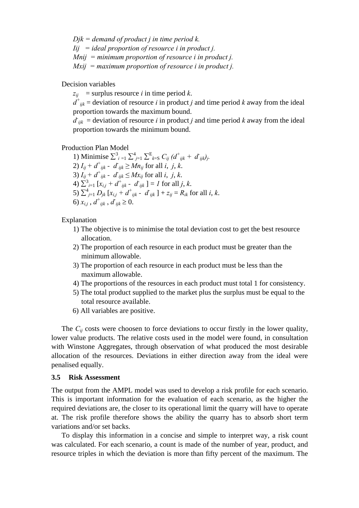*Djk = demand of product j in time period k. Iij = ideal proportion of resource i in product j. Mnij = minimum proportion of resource i in product j. Mxij = maximum proportion of resource i in product j.* 

Decision variables

 $z_{ij}$  = surplus resource *i* in time period *k*.

 $d^+_{ijk}$  = deviation of resource *i* in product *j* and time period *k* away from the ideal proportion towards the maximum bound.

 $d_{ijk}$  = deviation of resource *i* in product *j* and time period *k* away from the ideal proportion towards the minimum bound.

Production Plan Model

1) Minimise  $\sum_{i=1}^{3} \sum_{j=1}^{4} \sum_{k=5}^{E} C_{ij} (d^+_{ijk} + d^-_{ijk})$ 2)  $I_{ij} + d^+_{ijk} - d^+_{ijk} \geq Mn_{ij}$  for all *i*, *j*, *k*. 3)  $I_{ij} + d^+_{ijk} - d^-_{ijk} \leq Mx_{ij}$  for all *i*, *j*, *k*. 4)  $\sum_{i=1}^{3} [x_{i,j} + d^+]_{ijk}$  -  $d^]_{ijk}$  ] = *1* for all *j*, *k*. 5)  $\sum_{j=1}^{4} D_{jk} [x_{i,j} + d^+_{ijk} - d_{ijk}] + z_{ij} = R_{ik}$  for all *i*, *k*. 6)  $x_{i,j}$ ,  $d^+_{ijk}$ ,  $d^-_{ijk} \ge 0$ .

Explanation

- 1) The objective is to minimise the total deviation cost to get the best resource allocation.
- 2) The proportion of each resource in each product must be greater than the minimum allowable.
- 3) The proportion of each resource in each product must be less than the maximum allowable.
- 4) The proportions of the resources in each product must total 1 for consistency.
- 5) The total product supplied to the market plus the surplus must be equal to the total resource available.
- 6) All variables are positive.

The  $C_{ij}$  costs were choosen to force deviations to occur firstly in the lower quality, lower value products. The relative costs used in the model were found, in consultation with Winstone Aggregates, through observation of what produced the most desirable allocation of the resources. Deviations in either direction away from the ideal were penalised equally.

#### **3.5 Risk Assessment**

The output from the AMPL model was used to develop a risk profile for each scenario. This is important information for the evaluation of each scenario, as the higher the required deviations are, the closer to its operational limit the quarry will have to operate at. The risk profile therefore shows the ability the quarry has to absorb short term variations and/or set backs.

To display this information in a concise and simple to interpret way, a risk count was calculated. For each scenario, a count is made of the number of year, product, and resource triples in which the deviation is more than fifty percent of the maximum. The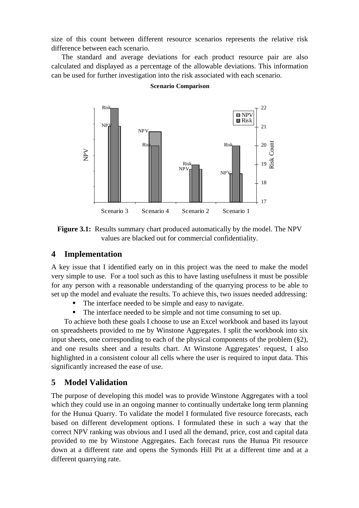size of this count between different resource scenarios represents the relative risk difference between each scenario.

The standard and average deviations for each product resource pair are also calculated and displayed as a percentage of the allowable deviations. This information can be used for further investigation into the risk associated with each scenario.



**Scenario Comparison**

**Figure 3.1:** Results summary chart produced automatically by the model. The NPV values are blacked out for commercial confidentiality.

## **4 Implementation**

A key issue that I identified early on in this project was the need to make the model very simple to use. For a tool such as this to have lasting usefulness it must be possible for any person with a reasonable understanding of the quarrying process to be able to set up the model and evaluate the results. To achieve this, two issues needed addressing:

- The interface needed to be simple and easy to navigate.
- The interface needed to be simple and not time consuming to set up.

To achieve both these goals I choose to use an Excel workbook and based its layout on spreadsheets provided to me by Winstone Aggregates. I split the workbook into six input sheets, one corresponding to each of the physical components of the problem (§2), and one results sheet and a results chart. At Winstone Aggregates' request, I also highlighted in a consistent colour all cells where the user is required to input data. This significantly increased the ease of use.

# **5 Model Validation**

The purpose of developing this model was to provide Winstone Aggregates with a tool which they could use in an ongoing manner to continually undertake long term planning for the Hunua Quarry. To validate the model I formulated five resource forecasts, each based on different development options. I formulated these in such a way that the correct NPV ranking was obvious and I used all the demand, price, cost and capital data provided to me by Winstone Aggregates. Each forecast runs the Hunua Pit resource down at a different rate and opens the Symonds Hill Pit at a different time and at a different quarrying rate.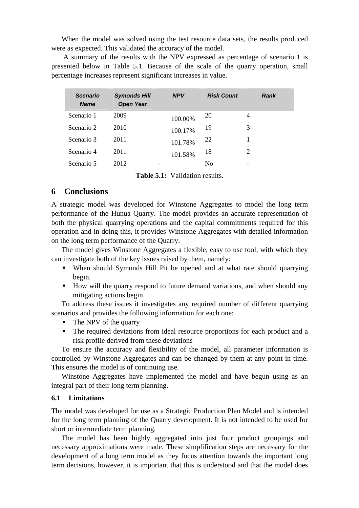When the model was solved using the test resource data sets, the results produced were as expected. This validated the accuracy of the model.

 A summary of the results with the NPV expressed as percentage of scenario 1 is presented below in Table 5.1. Because of the scale of the quarry operation, small percentage increases represent significant increases in value.

| <b>Scenario</b><br><b>Name</b> | <b>Symonds Hill</b><br><b>Open Year</b> | <b>NPV</b> | <b>Risk Count</b> | <b>Rank</b> |
|--------------------------------|-----------------------------------------|------------|-------------------|-------------|
| Scenario 1                     | 2009                                    | 100.00%    | 20                | 4           |
| Scenario 2                     | 2010                                    | 100.17%    | 19                | 3           |
| Scenario 3                     | 2011                                    | 101.78%    | 22                |             |
| Scenario 4                     | 2011                                    | 101.58%    | 18                | 2           |
| Scenario 5                     | 2012                                    |            | No                |             |

**Table 5.1:** Validation results.

## **6 Conclusions**

A strategic model was developed for Winstone Aggregates to model the long term performance of the Hunua Quarry. The model provides an accurate representation of both the physical quarrying operations and the capital commitments required for this operation and in doing this, it provides Winstone Aggregates with detailed information on the long term performance of the Quarry.

The model gives Winstone Aggregates a flexible, easy to use tool, with which they can investigate both of the key issues raised by them, namely:

- When should Symonds Hill Pit be opened and at what rate should quarrying begin.
- How will the quarry respond to future demand variations, and when should any mitigating actions begin.

To address these issues it investigates any required number of different quarrying scenarios and provides the following information for each one:

- The NPV of the quarry
- The required deviations from ideal resource proportions for each product and a risk profile derived from these deviations

To ensure the accuracy and flexibility of the model, all parameter information is controlled by Winstone Aggregates and can be changed by them at any point in time. This ensures the model is of continuing use.

Winstone Aggregates have implemented the model and have begun using as an integral part of their long term planning.

#### **6.1 Limitations**

The model was developed for use as a Strategic Production Plan Model and is intended for the long term planning of the Quarry development. It is not intended to be used for short or intermediate term planning.

The model has been highly aggregated into just four product groupings and necessary approximations were made. These simplification steps are necessary for the development of a long term model as they focus attention towards the important long term decisions, however, it is important that this is understood and that the model does